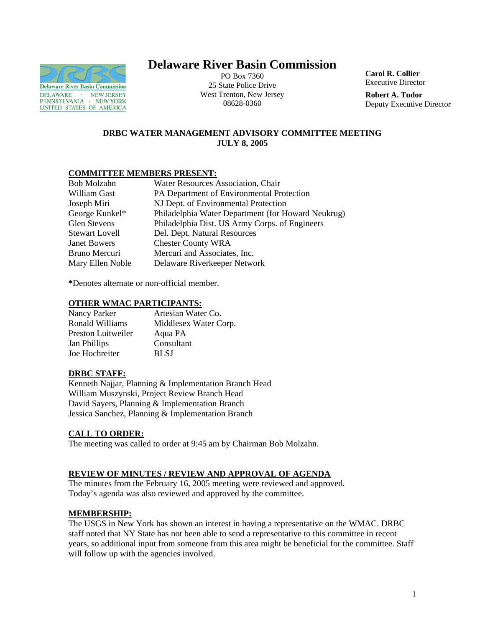

# **Delaware River Basin Commission**

PO Box 7360 25 State Police Drive West Trenton, New Jersey 08628-0360

**Carol R. Collier** Executive Director

**Robert A. Tudor**  Deputy Executive Director

# **DRBC WATER MANAGEMENT ADVISORY COMMITTEE MEETING JULY 8, 2005**

# **COMMITTEE MEMBERS PRESENT:**

| Water Resources Association, Chair                 |
|----------------------------------------------------|
| PA Department of Environmental Protection          |
| NJ Dept. of Environmental Protection               |
| Philadelphia Water Department (for Howard Neukrug) |
| Philadelphia Dist. US Army Corps. of Engineers     |
| Del. Dept. Natural Resources                       |
| <b>Chester County WRA</b>                          |
| Mercuri and Associates, Inc.                       |
| Delaware Riverkeeper Network                       |
|                                                    |

**\***Denotes alternate or non-official member.

# **OTHER WMAC PARTICIPANTS:**

| Nancy Parker       | Artesian Water Co.    |
|--------------------|-----------------------|
| Ronald Williams    | Middlesex Water Corp. |
| Preston Luitweiler | Aqua PA               |
| Jan Phillips       | Consultant            |
| Joe Hochreiter     | BL SJ                 |

# **DRBC STAFF:**

Kenneth Najjar, Planning & Implementation Branch Head William Muszynski, Project Review Branch Head David Sayers, Planning & Implementation Branch Jessica Sanchez, Planning & Implementation Branch

# **CALL TO ORDER:**

The meeting was called to order at 9:45 am by Chairman Bob Molzahn.

# **REVIEW OF MINUTES / REVIEW AND APPROVAL OF AGENDA**

The minutes from the February 16, 2005 meeting were reviewed and approved. Today's agenda was also reviewed and approved by the committee.

# **MEMBERSHIP:**

The USGS in New York has shown an interest in having a representative on the WMAC. DRBC staff noted that NY State has not been able to send a representative to this committee in recent years, so additional input from someone from this area might be beneficial for the committee. Staff will follow up with the agencies involved.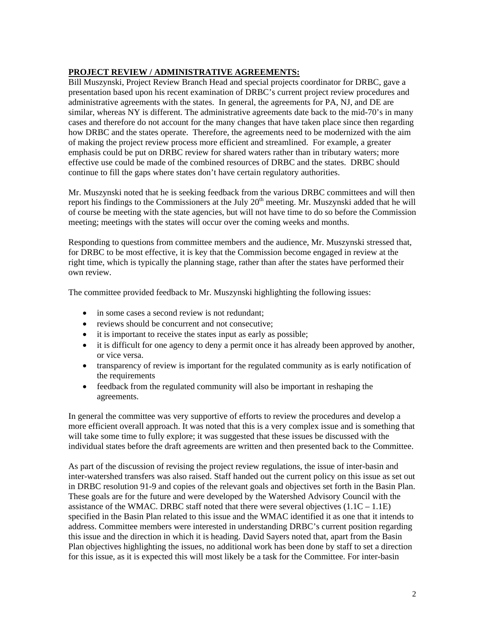# **PROJECT REVIEW / ADMINISTRATIVE AGREEMENTS:**

Bill Muszynski, Project Review Branch Head and special projects coordinator for DRBC, gave a presentation based upon his recent examination of DRBC's current project review procedures and administrative agreements with the states. In general, the agreements for PA, NJ, and DE are similar, whereas NY is different. The administrative agreements date back to the mid-70's in many cases and therefore do not account for the many changes that have taken place since then regarding how DRBC and the states operate. Therefore, the agreements need to be modernized with the aim of making the project review process more efficient and streamlined. For example, a greater emphasis could be put on DRBC review for shared waters rather than in tributary waters; more effective use could be made of the combined resources of DRBC and the states. DRBC should continue to fill the gaps where states don't have certain regulatory authorities.

Mr. Muszynski noted that he is seeking feedback from the various DRBC committees and will then report his findings to the Commissioners at the July  $20<sup>th</sup>$  meeting. Mr. Muszynski added that he will of course be meeting with the state agencies, but will not have time to do so before the Commission meeting; meetings with the states will occur over the coming weeks and months.

Responding to questions from committee members and the audience, Mr. Muszynski stressed that, for DRBC to be most effective, it is key that the Commission become engaged in review at the right time, which is typically the planning stage, rather than after the states have performed their own review.

The committee provided feedback to Mr. Muszynski highlighting the following issues:

- in some cases a second review is not redundant;
- reviews should be concurrent and not consecutive:
- it is important to receive the states input as early as possible;
- it is difficult for one agency to deny a permit once it has already been approved by another, or vice versa.
- transparency of review is important for the regulated community as is early notification of the requirements
- feedback from the regulated community will also be important in reshaping the agreements.

In general the committee was very supportive of efforts to review the procedures and develop a more efficient overall approach. It was noted that this is a very complex issue and is something that will take some time to fully explore; it was suggested that these issues be discussed with the individual states before the draft agreements are written and then presented back to the Committee.

As part of the discussion of revising the project review regulations, the issue of inter-basin and inter-watershed transfers was also raised. Staff handed out the current policy on this issue as set out in DRBC resolution 91-9 and copies of the relevant goals and objectives set forth in the Basin Plan. These goals are for the future and were developed by the Watershed Advisory Council with the assistance of the WMAC. DRBC staff noted that there were several objectives  $(1.1C - 1.1E)$ specified in the Basin Plan related to this issue and the WMAC identified it as one that it intends to address. Committee members were interested in understanding DRBC's current position regarding this issue and the direction in which it is heading. David Sayers noted that, apart from the Basin Plan objectives highlighting the issues, no additional work has been done by staff to set a direction for this issue, as it is expected this will most likely be a task for the Committee. For inter-basin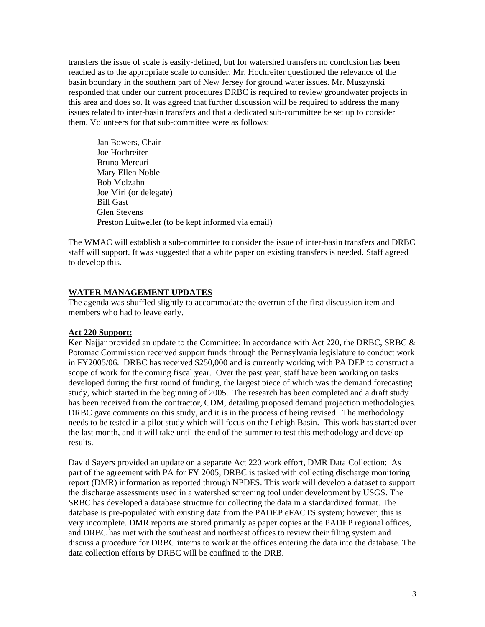transfers the issue of scale is easily-defined, but for watershed transfers no conclusion has been reached as to the appropriate scale to consider. Mr. Hochreiter questioned the relevance of the basin boundary in the southern part of New Jersey for ground water issues. Mr. Muszynski responded that under our current procedures DRBC is required to review groundwater projects in this area and does so. It was agreed that further discussion will be required to address the many issues related to inter-basin transfers and that a dedicated sub-committee be set up to consider them. Volunteers for that sub-committee were as follows:

Jan Bowers, Chair Joe Hochreiter Bruno Mercuri Mary Ellen Noble Bob Molzahn Joe Miri (or delegate) Bill Gast Glen Stevens Preston Luitweiler (to be kept informed via email)

The WMAC will establish a sub-committee to consider the issue of inter-basin transfers and DRBC staff will support. It was suggested that a white paper on existing transfers is needed. Staff agreed to develop this.

## **WATER MANAGEMENT UPDATES**

The agenda was shuffled slightly to accommodate the overrun of the first discussion item and members who had to leave early.

#### **Act 220 Support:**

Ken Najjar provided an update to the Committee: In accordance with Act 220, the DRBC, SRBC & Potomac Commission received support funds through the Pennsylvania legislature to conduct work in FY2005/06. DRBC has received \$250,000 and is currently working with PA DEP to construct a scope of work for the coming fiscal year. Over the past year, staff have been working on tasks developed during the first round of funding, the largest piece of which was the demand forecasting study, which started in the beginning of 2005. The research has been completed and a draft study has been received from the contractor, CDM, detailing proposed demand projection methodologies. DRBC gave comments on this study, and it is in the process of being revised. The methodology needs to be tested in a pilot study which will focus on the Lehigh Basin. This work has started over the last month, and it will take until the end of the summer to test this methodology and develop results.

David Sayers provided an update on a separate Act 220 work effort, DMR Data Collection: As part of the agreement with PA for FY 2005, DRBC is tasked with collecting discharge monitoring report (DMR) information as reported through NPDES. This work will develop a dataset to support the discharge assessments used in a watershed screening tool under development by USGS. The SRBC has developed a database structure for collecting the data in a standardized format. The database is pre-populated with existing data from the PADEP eFACTS system; however, this is very incomplete. DMR reports are stored primarily as paper copies at the PADEP regional offices, and DRBC has met with the southeast and northeast offices to review their filing system and discuss a procedure for DRBC interns to work at the offices entering the data into the database. The data collection efforts by DRBC will be confined to the DRB.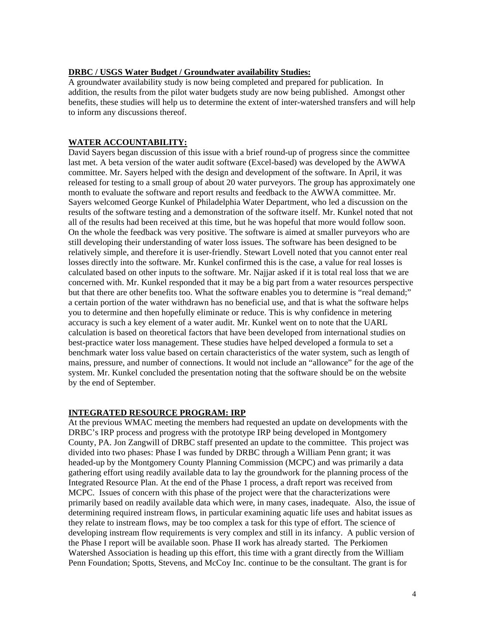## **DRBC / USGS Water Budget / Groundwater availability Studies:**

A groundwater availability study is now being completed and prepared for publication. In addition, the results from the pilot water budgets study are now being published. Amongst other benefits, these studies will help us to determine the extent of inter-watershed transfers and will help to inform any discussions thereof.

## **WATER ACCOUNTABILITY:**

David Sayers began discussion of this issue with a brief round-up of progress since the committee last met. A beta version of the water audit software (Excel-based) was developed by the AWWA committee. Mr. Sayers helped with the design and development of the software. In April, it was released for testing to a small group of about 20 water purveyors. The group has approximately one month to evaluate the software and report results and feedback to the AWWA committee. Mr. Sayers welcomed George Kunkel of Philadelphia Water Department, who led a discussion on the results of the software testing and a demonstration of the software itself. Mr. Kunkel noted that not all of the results had been received at this time, but he was hopeful that more would follow soon. On the whole the feedback was very positive. The software is aimed at smaller purveyors who are still developing their understanding of water loss issues. The software has been designed to be relatively simple, and therefore it is user-friendly. Stewart Lovell noted that you cannot enter real losses directly into the software. Mr. Kunkel confirmed this is the case, a value for real losses is calculated based on other inputs to the software. Mr. Najjar asked if it is total real loss that we are concerned with. Mr. Kunkel responded that it may be a big part from a water resources perspective but that there are other benefits too. What the software enables you to determine is "real demand;" a certain portion of the water withdrawn has no beneficial use, and that is what the software helps you to determine and then hopefully eliminate or reduce. This is why confidence in metering accuracy is such a key element of a water audit. Mr. Kunkel went on to note that the UARL calculation is based on theoretical factors that have been developed from international studies on best-practice water loss management. These studies have helped developed a formula to set a benchmark water loss value based on certain characteristics of the water system, such as length of mains, pressure, and number of connections. It would not include an "allowance" for the age of the system. Mr. Kunkel concluded the presentation noting that the software should be on the website by the end of September.

## **INTEGRATED RESOURCE PROGRAM: IRP**

At the previous WMAC meeting the members had requested an update on developments with the DRBC's IRP process and progress with the prototype IRP being developed in Montgomery County, PA. Jon Zangwill of DRBC staff presented an update to the committee. This project was divided into two phases: Phase I was funded by DRBC through a William Penn grant; it was headed-up by the Montgomery County Planning Commission (MCPC) and was primarily a data gathering effort using readily available data to lay the groundwork for the planning process of the Integrated Resource Plan. At the end of the Phase 1 process, a draft report was received from MCPC. Issues of concern with this phase of the project were that the characterizations were primarily based on readily available data which were, in many cases, inadequate. Also, the issue of determining required instream flows, in particular examining aquatic life uses and habitat issues as they relate to instream flows, may be too complex a task for this type of effort. The science of developing instream flow requirements is very complex and still in its infancy. A public version of the Phase I report will be available soon. Phase II work has already started. The Perkiomen Watershed Association is heading up this effort, this time with a grant directly from the William Penn Foundation; Spotts, Stevens, and McCoy Inc. continue to be the consultant. The grant is for